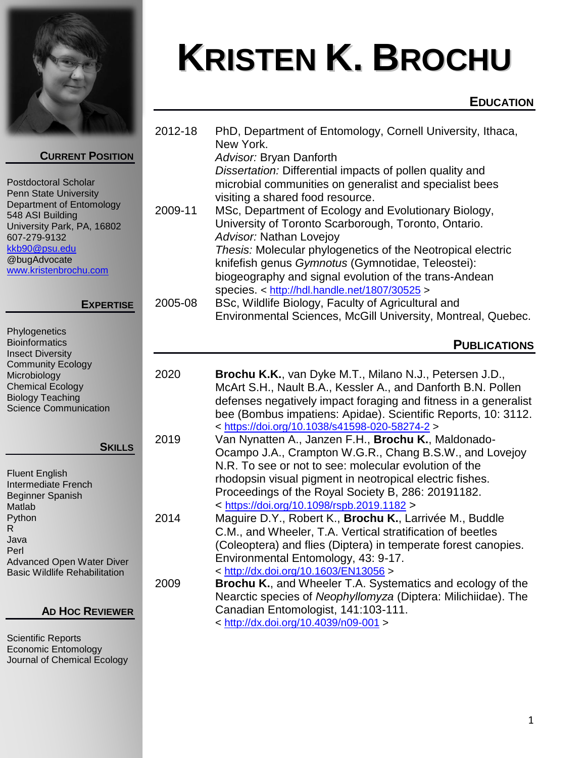

# **KRISTEN K. BROCHU**

# **EDUCATION**

| <b>CURRENT POSITION</b><br><b>Postdoctoral Scholar</b><br>Penn State University<br>Department of Entomology<br>548 ASI Building<br>University Park, PA, 16802<br>607-279-9132<br>kkb90@psu.edu<br>@bugAdvocate<br>www.kristenbrochu.com | 2012-18<br>2009-11 | PhD, Department of Entomology, Cornell University, Ithaca,<br>New York.<br>Advisor: Bryan Danforth<br>Dissertation: Differential impacts of pollen quality and<br>microbial communities on generalist and specialist bees<br>visiting a shared food resource.<br>MSc, Department of Ecology and Evolutionary Biology,<br>University of Toronto Scarborough, Toronto, Ontario.<br>Advisor: Nathan Lovejoy<br>Thesis: Molecular phylogenetics of the Neotropical electric<br>knifefish genus Gymnotus (Gymnotidae, Teleostei):<br>biogeography and signal evolution of the trans-Andean |
|-----------------------------------------------------------------------------------------------------------------------------------------------------------------------------------------------------------------------------------------|--------------------|---------------------------------------------------------------------------------------------------------------------------------------------------------------------------------------------------------------------------------------------------------------------------------------------------------------------------------------------------------------------------------------------------------------------------------------------------------------------------------------------------------------------------------------------------------------------------------------|
| <b>EXPERTISE</b>                                                                                                                                                                                                                        | 2005-08            | species. < http://hdl.handle.net/1807/30525 ><br>BSc, Wildlife Biology, Faculty of Agricultural and<br>Environmental Sciences, McGill University, Montreal, Quebec.                                                                                                                                                                                                                                                                                                                                                                                                                   |
| Phylogenetics<br><b>Bioinformatics</b><br><b>Insect Diversity</b>                                                                                                                                                                       |                    | <b>PUBLICATIONS</b>                                                                                                                                                                                                                                                                                                                                                                                                                                                                                                                                                                   |
| <b>Community Ecology</b><br>Microbiology<br><b>Chemical Ecology</b><br><b>Biology Teaching</b><br><b>Science Communication</b>                                                                                                          | 2020               | Brochu K.K., van Dyke M.T., Milano N.J., Petersen J.D.,<br>McArt S.H., Nault B.A., Kessler A., and Danforth B.N. Pollen<br>defenses negatively impact foraging and fitness in a generalist<br>bee (Bombus impatiens: Apidae). Scientific Reports, 10: 3112.                                                                                                                                                                                                                                                                                                                           |
| <b>SKILLS</b><br><b>Fluent English</b><br>Intermediate French<br><b>Beginner Spanish</b><br>Matlab                                                                                                                                      | 2019               | < https://doi.org/10.1038/s41598-020-58274-2 ><br>Van Nynatten A., Janzen F.H., Brochu K., Maldonado-<br>Ocampo J.A., Crampton W.G.R., Chang B.S.W., and Lovejoy<br>N.R. To see or not to see: molecular evolution of the<br>rhodopsin visual pigment in neotropical electric fishes.<br>Proceedings of the Royal Society B, 286: 20191182.<br>< https://doi.org/10.1098/rspb.2019.1182 >                                                                                                                                                                                             |
| Python<br>$\mathsf{R}$<br>Java<br>Perl<br><b>Advanced Open Water Diver</b><br><b>Basic Wildlife Rehabilitation</b>                                                                                                                      | 2014               | Maguire D.Y., Robert K., Brochu K., Larrivée M., Buddle<br>C.M., and Wheeler, T.A. Vertical stratification of beetles<br>(Coleoptera) and flies (Diptera) in temperate forest canopies.<br>Environmental Entomology, 43: 9-17.<br>< http://dx.doi.org/10.1603/EN13056 >                                                                                                                                                                                                                                                                                                               |
| <b>AD HOC REVIEWER</b>                                                                                                                                                                                                                  | 2009               | <b>Brochu K., and Wheeler T.A. Systematics and ecology of the</b><br>Nearctic species of Neophyllomyza (Diptera: Milichiidae). The<br>Canadian Entomologist, 141:103-111.<br>< http://dx.doi.org/10.4039/n09-001 >                                                                                                                                                                                                                                                                                                                                                                    |

Scientific Reports Economic Entomology Journal of Chemical Ecology

 $\overline{a}$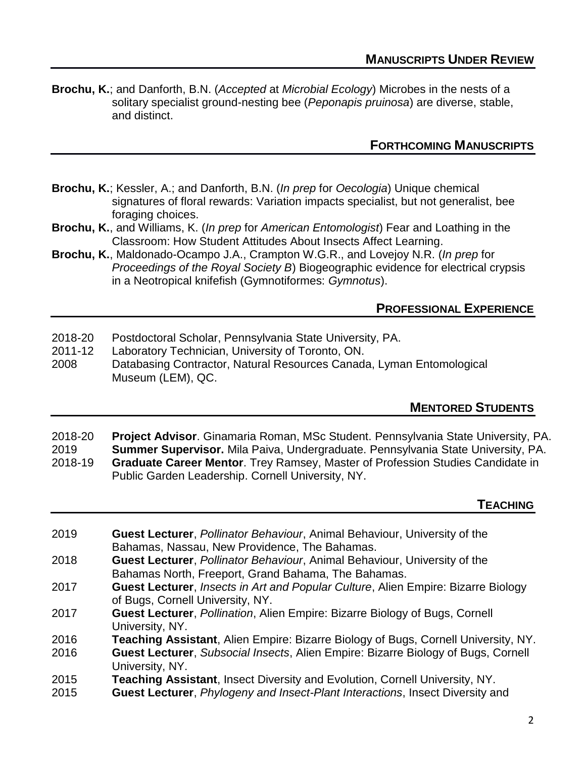**Brochu, K.**; and Danforth, B.N. (*Accepted* at *Microbial Ecology*) Microbes in the nests of a solitary specialist ground-nesting bee (*Peponapis pruinosa*) are diverse, stable, and distinct.

## **FORTHCOMING MANUSCRIPTS**

- **Brochu, K.**; Kessler, A.; and Danforth, B.N. (*In prep* for *Oecologia*) Unique chemical signatures of floral rewards: Variation impacts specialist, but not generalist, bee foraging choices.
- **Brochu, K.**, and Williams, K. (*In prep* for *American Entomologist*) Fear and Loathing in the Classroom: How Student Attitudes About Insects Affect Learning.
- **Brochu, K.**, Maldonado-Ocampo J.A., Crampton W.G.R., and Lovejoy N.R. (*In prep* for *Proceedings of the Royal Society B*) Biogeographic evidence for electrical crypsis in a Neotropical knifefish (Gymnotiformes: *Gymnotus*).

#### **PROFESSIONAL EXPERIENCE**

- 2018-20 Postdoctoral Scholar, Pennsylvania State University, PA.
- 2011-12 Laboratory Technician, University of Toronto, ON.
- 2008 Databasing Contractor, Natural Resources Canada, Lyman Entomological Museum (LEM), QC.

### **MENTORED STUDENTS**

- 2018-20 **Project Advisor**. Ginamaria Roman, MSc Student. Pennsylvania State University, PA.
- 2019 **Summer Supervisor.** Mila Paiva, Undergraduate. Pennsylvania State University, PA. 2018-19 **Graduate Career Mentor**. Trey Ramsey, Master of Profession Studies Candidate in Public Garden Leadership. Cornell University, NY.

#### **TEACHING**

- 2019 **Guest Lecturer**, *Pollinator Behaviour*, Animal Behaviour, University of the Bahamas, Nassau, New Providence, The Bahamas.
- 2018 **Guest Lecturer**, *Pollinator Behaviour*, Animal Behaviour, University of the Bahamas North, Freeport, Grand Bahama, The Bahamas.
- 2017 **Guest Lecturer**, *Insects in Art and Popular Culture*, Alien Empire: Bizarre Biology of Bugs, Cornell University, NY.
- 2017 **Guest Lecturer**, *Pollination*, Alien Empire: Bizarre Biology of Bugs, Cornell University, NY.
- 2016 **Teaching Assistant**, Alien Empire: Bizarre Biology of Bugs, Cornell University, NY.
- 2016 **Guest Lecturer**, *Subsocial Insects*, Alien Empire: Bizarre Biology of Bugs, Cornell University, NY.
- 2015 **Teaching Assistant**, Insect Diversity and Evolution, Cornell University, NY.
- 2015 **Guest Lecturer**, *Phylogeny and Insect-Plant Interactions*, Insect Diversity and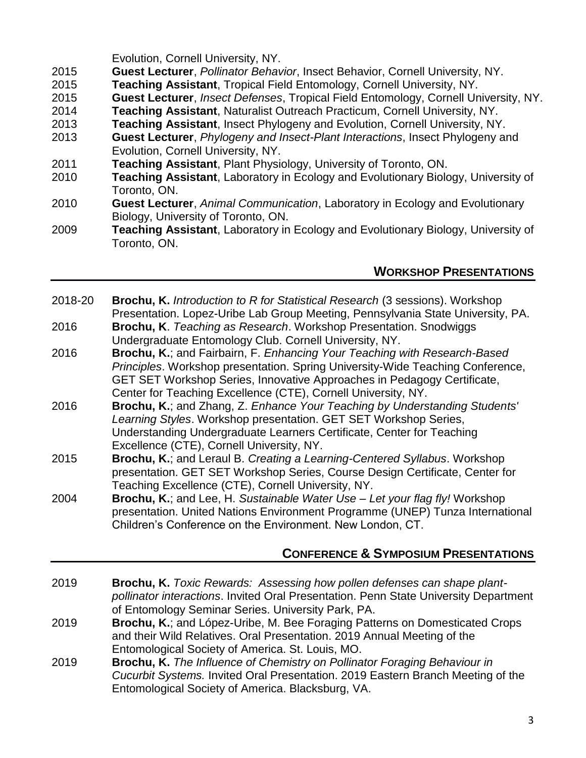Evolution, Cornell University, NY.

- 2015 **Guest Lecturer**, *Pollinator Behavior*, Insect Behavior, Cornell University, NY.
- 2015 **Teaching Assistant**, Tropical Field Entomology, Cornell University, NY.
- 2015 **Guest Lecturer**, *Insect Defenses*, Tropical Field Entomology, Cornell University, NY.
- 2014 **Teaching Assistant**, Naturalist Outreach Practicum, Cornell University, NY.
- 2013 **Teaching Assistant**, Insect Phylogeny and Evolution, Cornell University, NY.
- 2013 **Guest Lecturer**, *Phylogeny and Insect-Plant Interactions*, Insect Phylogeny and Evolution, Cornell University, NY.
- 2011 **Teaching Assistant**, Plant Physiology, University of Toronto, ON.
- 2010 **Teaching Assistant**, Laboratory in Ecology and Evolutionary Biology, University of Toronto, ON.
- 2010 **Guest Lecturer**, *Animal Communication*, Laboratory in Ecology and Evolutionary Biology, University of Toronto, ON.
- 2009 **Teaching Assistant**, Laboratory in Ecology and Evolutionary Biology, University of Toronto, ON.

# **WORKSHOP PRESENTATIONS**

- 2018-20 **Brochu, K.** *Introduction to R for Statistical Research* (3 sessions). Workshop Presentation. Lopez-Uribe Lab Group Meeting, Pennsylvania State University, PA.
- 2016 **Brochu, K**. *Teaching as Research*. Workshop Presentation. Snodwiggs Undergraduate Entomology Club. Cornell University, NY.
- 2016 **Brochu, K.**; and Fairbairn, F. *Enhancing Your Teaching with Research-Based Principles*. Workshop presentation. Spring University-Wide Teaching Conference, GET SET Workshop Series, Innovative Approaches in Pedagogy Certificate, Center for Teaching Excellence (CTE), Cornell University, NY.
- 2016 **Brochu, K.**; and Zhang, Z. *Enhance Your Teaching by Understanding Students' Learning Styles*. Workshop presentation. GET SET Workshop Series, Understanding Undergraduate Learners Certificate, Center for Teaching Excellence (CTE), Cornell University, NY.
- 2015 **Brochu, K.**; and Leraul B. *Creating a Learning-Centered Syllabus*. Workshop presentation. GET SET Workshop Series, Course Design Certificate, Center for Teaching Excellence (CTE), Cornell University, NY.
- 2004 **Brochu, K.**; and Lee, H. *Sustainable Water Use – Let your flag fly!* Workshop presentation. United Nations Environment Programme (UNEP) Tunza International Children's Conference on the Environment. New London, CT.

# **CONFERENCE & SYMPOSIUM PRESENTATIONS**

- 2019 **Brochu, K.** *Toxic Rewards: Assessing how pollen defenses can shape plantpollinator interactions*. Invited Oral Presentation. Penn State University Department of Entomology Seminar Series. University Park, PA.
- 2019 **Brochu, K.**; and López-Uribe, M. Bee Foraging Patterns on Domesticated Crops and their Wild Relatives. Oral Presentation. 2019 Annual Meeting of the Entomological Society of America. St. Louis, MO.
- 2019 **Brochu, K.** *The Influence of Chemistry on Pollinator Foraging Behaviour in Cucurbit Systems.* Invited Oral Presentation. 2019 Eastern Branch Meeting of the Entomological Society of America. Blacksburg, VA.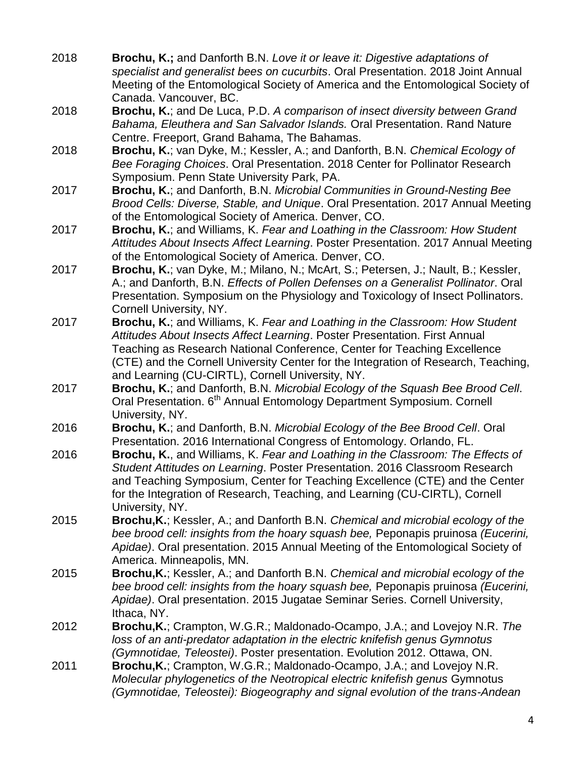- 2018 **Brochu, K.;** and Danforth B.N. *Love it or leave it: Digestive adaptations of specialist and generalist bees on cucurbits*. Oral Presentation. 2018 Joint Annual Meeting of the Entomological Society of America and the Entomological Society of Canada. Vancouver, BC.
- 2018 **Brochu, K.**; and De Luca, P.D. *A comparison of insect diversity between Grand Bahama, Eleuthera and San Salvador Islands.* Oral Presentation. Rand Nature Centre. Freeport, Grand Bahama, The Bahamas.
- 2018 **Brochu, K.**; van Dyke, M.; Kessler, A.; and Danforth, B.N. *Chemical Ecology of Bee Foraging Choices*. Oral Presentation. 2018 Center for Pollinator Research Symposium. Penn State University Park, PA.
- 2017 **Brochu, K.**; and Danforth, B.N. *Microbial Communities in Ground-Nesting Bee Brood Cells: Diverse, Stable, and Unique*. Oral Presentation. 2017 Annual Meeting of the Entomological Society of America. Denver, CO.
- 2017 **Brochu, K.**; and Williams, K. *Fear and Loathing in the Classroom: How Student Attitudes About Insects Affect Learning*. Poster Presentation. 2017 Annual Meeting of the Entomological Society of America. Denver, CO.
- 2017 **Brochu, K.**; van Dyke, M.; Milano, N.; McArt, S.; Petersen, J.; Nault, B.; Kessler, A.; and Danforth, B.N. *Effects of Pollen Defenses on a Generalist Pollinator*. Oral Presentation. Symposium on the Physiology and Toxicology of Insect Pollinators. Cornell University, NY.
- 2017 **Brochu, K.**; and Williams, K. *Fear and Loathing in the Classroom: How Student Attitudes About Insects Affect Learning*. Poster Presentation. First Annual Teaching as Research National Conference, Center for Teaching Excellence (CTE) and the Cornell University Center for the Integration of Research, Teaching, and Learning (CU-CIRTL), Cornell University, NY.
- 2017 **Brochu, K.**; and Danforth, B.N. *Microbial Ecology of the Squash Bee Brood Cell*. Oral Presentation. 6<sup>th</sup> Annual Entomology Department Symposium. Cornell University, NY.
- 2016 **Brochu, K.**; and Danforth, B.N. *Microbial Ecology of the Bee Brood Cell*. Oral Presentation. 2016 International Congress of Entomology. Orlando, FL.
- 2016 **Brochu, K.**, and Williams, K. *Fear and Loathing in the Classroom: The Effects of Student Attitudes on Learning*. Poster Presentation. 2016 Classroom Research and Teaching Symposium, Center for Teaching Excellence (CTE) and the Center for the Integration of Research, Teaching, and Learning (CU-CIRTL), Cornell University, NY.
- 2015 **Brochu,K.**; Kessler, A.; and Danforth B.N. *Chemical and microbial ecology of the bee brood cell: insights from the hoary squash bee,* Peponapis pruinosa *(Eucerini, Apidae)*. Oral presentation. 2015 Annual Meeting of the Entomological Society of America. Minneapolis, MN.
- 2015 **Brochu,K.**; Kessler, A.; and Danforth B.N. *Chemical and microbial ecology of the bee brood cell: insights from the hoary squash bee,* Peponapis pruinosa *(Eucerini, Apidae)*. Oral presentation. 2015 Jugatae Seminar Series. Cornell University, Ithaca, NY.
- 2012 **Brochu,K.**; Crampton, W.G.R.; Maldonado-Ocampo, J.A.; and Lovejoy N.R. *The loss of an anti-predator adaptation in the electric knifefish genus Gymnotus (Gymnotidae, Teleostei)*. Poster presentation. Evolution 2012. Ottawa, ON.
- 2011 **Brochu,K.**; Crampton, W.G.R.; Maldonado-Ocampo, J.A.; and Lovejoy N.R. *Molecular phylogenetics of the Neotropical electric knifefish genus* Gymnotus *(Gymnotidae, Teleostei): Biogeography and signal evolution of the trans-Andean*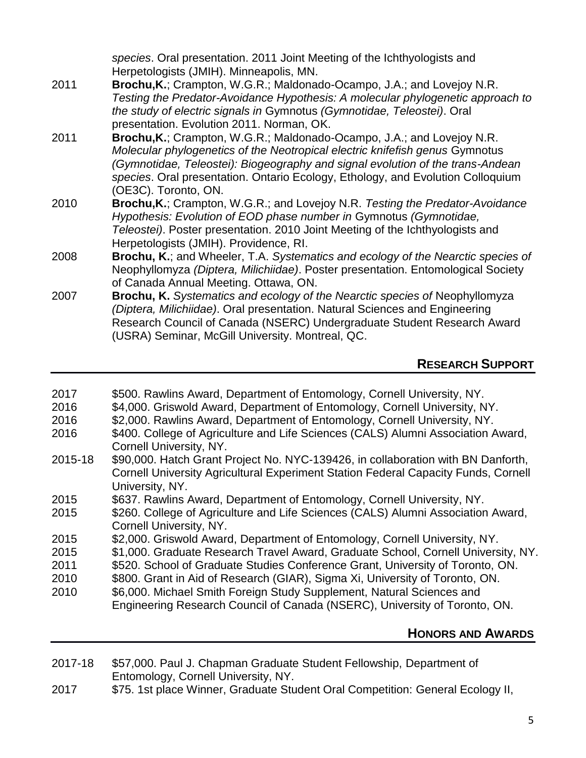*species*. Oral presentation. 2011 Joint Meeting of the Ichthyologists and Herpetologists (JMIH). Minneapolis, MN. 2011 **Brochu,K.**; Crampton, W.G.R.; Maldonado-Ocampo, J.A.; and Lovejoy N.R. *Testing the Predator-Avoidance Hypothesis: A molecular phylogenetic approach to the study of electric signals in* Gymnotus *(Gymnotidae, Teleostei)*. Oral presentation. Evolution 2011. Norman, OK. 2011 **Brochu,K.**; Crampton, W.G.R.; Maldonado-Ocampo, J.A.; and Lovejoy N.R. *Molecular phylogenetics of the Neotropical electric knifefish genus* Gymnotus *(Gymnotidae, Teleostei): Biogeography and signal evolution of the trans-Andean species*. Oral presentation. Ontario Ecology, Ethology, and Evolution Colloquium (OE3C). Toronto, ON. 2010 **Brochu,K.**; Crampton, W.G.R.; and Lovejoy N.R. *Testing the Predator-Avoidance Hypothesis: Evolution of EOD phase number in* Gymnotus *(Gymnotidae, Teleostei)*. Poster presentation. 2010 Joint Meeting of the Ichthyologists and Herpetologists (JMIH). Providence, RI. 2008 **Brochu, K.**; and Wheeler, T.A. *Systematics and ecology of the Nearctic species of*  Neophyllomyza *(Diptera, Milichiidae)*. Poster presentation. Entomological Society of Canada Annual Meeting. Ottawa, ON. 2007 **Brochu, K.** *Systematics and ecology of the Nearctic species of* Neophyllomyza *(Diptera, Milichiidae)*. Oral presentation. Natural Sciences and Engineering Research Council of Canada (NSERC) Undergraduate Student Research Award (USRA) Seminar, McGill University. Montreal, QC.

# **RESEARCH SUPPORT**

| 2017 | \$500. Rawlins Award, Department of Entomology, Cornell University, NY. |  |  |
|------|-------------------------------------------------------------------------|--|--|
|------|-------------------------------------------------------------------------|--|--|

- 2016 \$4,000. Griswold Award, Department of Entomology, Cornell University, NY.
- 2016 \$2,000. Rawlins Award, Department of Entomology, Cornell University, NY.
- 2016 \$400. College of Agriculture and Life Sciences (CALS) Alumni Association Award, Cornell University, NY.
- 2015-18 \$90,000. Hatch Grant Project No. NYC-139426, in collaboration with BN Danforth, Cornell University Agricultural Experiment Station Federal Capacity Funds, Cornell University, NY.
- 2015 \$637. Rawlins Award, Department of Entomology, Cornell University, NY.
- 2015 \$260. College of Agriculture and Life Sciences (CALS) Alumni Association Award, Cornell University, NY.
- 2015 \$2,000. Griswold Award, Department of Entomology, Cornell University, NY.
- 2015 \$1,000. Graduate Research Travel Award, Graduate School, Cornell University, NY.
- 2011 \$520. School of Graduate Studies Conference Grant, University of Toronto, ON.
- 2010 \$800. Grant in Aid of Research (GIAR), Sigma Xi, University of Toronto, ON.
- 2010 \$6,000. Michael Smith Foreign Study Supplement, Natural Sciences and Engineering Research Council of Canada (NSERC), University of Toronto, ON.

# **HONORS AND AWARDS**

- 2017-18 \$57,000. Paul J. Chapman Graduate Student Fellowship, Department of Entomology, Cornell University, NY.
- 2017 \$75. 1st place Winner, Graduate Student Oral Competition: General Ecology II,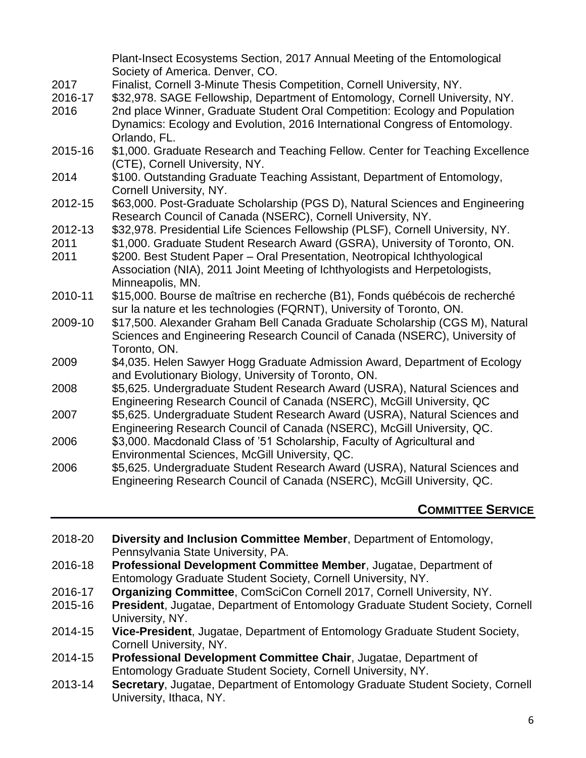|         | Plant-Insect Ecosystems Section, 2017 Annual Meeting of the Entomological<br>Society of America. Denver, CO. |
|---------|--------------------------------------------------------------------------------------------------------------|
| 2017    | Finalist, Cornell 3-Minute Thesis Competition, Cornell University, NY.                                       |
| 2016-17 | \$32,978. SAGE Fellowship, Department of Entomology, Cornell University, NY.                                 |
| 2016    | 2nd place Winner, Graduate Student Oral Competition: Ecology and Population                                  |
|         | Dynamics: Ecology and Evolution, 2016 International Congress of Entomology.                                  |
|         | Orlando, FL.                                                                                                 |
| 2015-16 | \$1,000. Graduate Research and Teaching Fellow. Center for Teaching Excellence                               |
|         | (CTE), Cornell University, NY.                                                                               |
| 2014    | \$100. Outstanding Graduate Teaching Assistant, Department of Entomology,                                    |
|         | Cornell University, NY.                                                                                      |
| 2012-15 | \$63,000. Post-Graduate Scholarship (PGS D), Natural Sciences and Engineering                                |
|         | Research Council of Canada (NSERC), Cornell University, NY.                                                  |
| 2012-13 | \$32,978. Presidential Life Sciences Fellowship (PLSF), Cornell University, NY.                              |
| 2011    | \$1,000. Graduate Student Research Award (GSRA), University of Toronto, ON.                                  |
| 2011    | \$200. Best Student Paper - Oral Presentation, Neotropical Ichthyological                                    |
|         | Association (NIA), 2011 Joint Meeting of Ichthyologists and Herpetologists,                                  |
|         | Minneapolis, MN.                                                                                             |
| 2010-11 | \$15,000. Bourse de maîtrise en recherche (B1), Fonds québécois de recherché                                 |
|         | sur la nature et les technologies (FQRNT), University of Toronto, ON.                                        |
| 2009-10 | \$17,500. Alexander Graham Bell Canada Graduate Scholarship (CGS M), Natural                                 |
|         | Sciences and Engineering Research Council of Canada (NSERC), University of<br>Toronto, ON.                   |
| 2009    | \$4,035. Helen Sawyer Hogg Graduate Admission Award, Department of Ecology                                   |
|         | and Evolutionary Biology, University of Toronto, ON.                                                         |
| 2008    | \$5,625. Undergraduate Student Research Award (USRA), Natural Sciences and                                   |
|         | Engineering Research Council of Canada (NSERC), McGill University, QC                                        |
| 2007    | \$5,625. Undergraduate Student Research Award (USRA), Natural Sciences and                                   |
|         | Engineering Research Council of Canada (NSERC), McGill University, QC.                                       |
| 2006    | \$3,000. Macdonald Class of '51 Scholarship, Faculty of Agricultural and                                     |
|         | Environmental Sciences, McGill University, QC.                                                               |
| 2006    | \$5,625. Undergraduate Student Research Award (USRA), Natural Sciences and                                   |
|         | Engineering Research Council of Canada (NSERC), McGill University, QC.                                       |
|         |                                                                                                              |

### **COMMITTEE SERVICE**

- 2018-20 **Diversity and Inclusion Committee Member**, Department of Entomology, Pennsylvania State University, PA.
- 2016-18 **Professional Development Committee Member**, Jugatae, Department of Entomology Graduate Student Society, Cornell University, NY.
- 2016-17 **Organizing Committee**, ComSciCon Cornell 2017, Cornell University, NY.
- 2015-16 **President**, Jugatae, Department of Entomology Graduate Student Society, Cornell University, NY.
- 2014-15 **Vice-President**, Jugatae, Department of Entomology Graduate Student Society, Cornell University, NY.
- 2014-15 **Professional Development Committee Chair**, Jugatae, Department of Entomology Graduate Student Society, Cornell University, NY.
- 2013-14 **Secretary**, Jugatae, Department of Entomology Graduate Student Society, Cornell University, Ithaca, NY.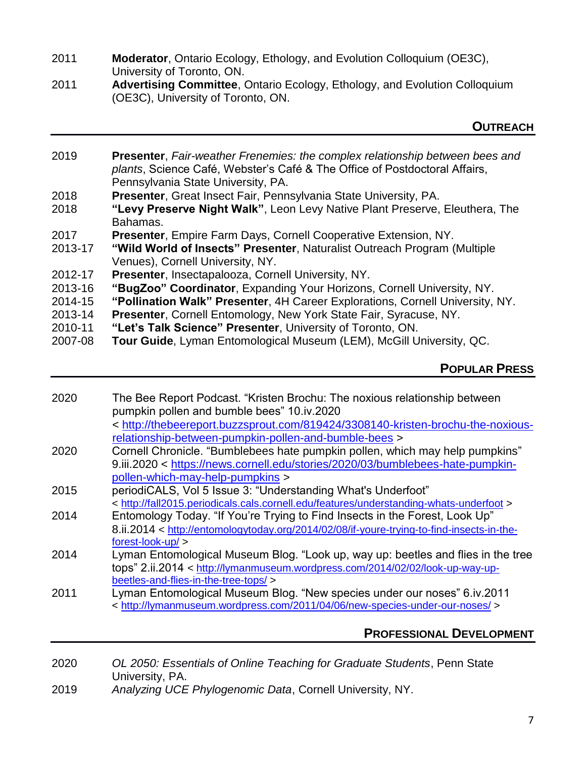- 2011 **Moderator**, Ontario Ecology, Ethology, and Evolution Colloquium (OE3C), University of Toronto, ON.
- 2011 **Advertising Committee**, Ontario Ecology, Ethology, and Evolution Colloquium (OE3C), University of Toronto, ON.

#### **OUTREACH**

- 2019 **Presenter**, *Fair-weather Frenemies: the complex relationship between bees and plants*, Science Café, Webster's Café & The Office of Postdoctoral Affairs, Pennsylvania State University, PA. 2018 **Presenter**, Great Insect Fair, Pennsylvania State University, PA.
- 2018 **"Levy Preserve Night Walk"**, Leon Levy Native Plant Preserve, Eleuthera, The Bahamas.
- 2017 **Presenter**, Empire Farm Days, Cornell Cooperative Extension, NY.
- 2013-17 **"Wild World of Insects" Presenter**, Naturalist Outreach Program (Multiple Venues), Cornell University, NY.
- 2012-17 **Presenter**, Insectapalooza, Cornell University, NY.
- 2013-16 **"BugZoo" Coordinator**, Expanding Your Horizons, Cornell University, NY.
- 2014-15 **"Pollination Walk" Presenter**, 4H Career Explorations, Cornell University, NY.
- 2013-14 **Presenter**, Cornell Entomology, New York State Fair, Syracuse, NY.
- 2010-11 **"Let's Talk Science" Presenter**, University of Toronto, ON.
- 2007-08 **Tour Guide**, Lyman Entomological Museum (LEM), McGill University, QC.

### **POPULAR PRESS**

2020 The Bee Report Podcast. "Kristen Brochu: The noxious relationship between pumpkin pollen and bumble bees" 10.iv.2020 < [http://thebeereport.buzzsprout.com/819424/3308140-kristen-brochu-the-noxious](http://thebeereport.buzzsprout.com/819424/3308140-kristen-brochu-the-noxious-relationship-between-pumpkin-pollen-and-bumble-bees)[relationship-between-pumpkin-pollen-and-bumble-bees](http://thebeereport.buzzsprout.com/819424/3308140-kristen-brochu-the-noxious-relationship-between-pumpkin-pollen-and-bumble-bees) > 2020 Cornell Chronicle. "Bumblebees hate pumpkin pollen, which may help pumpkins" 9.iii.2020 < [https://news.cornell.edu/stories/2020/03/bumblebees-hate-pumpkin](https://news.cornell.edu/stories/2020/03/bumblebees-hate-pumpkin-pollen-which-may-help-pumpkins)[pollen-which-may-help-pumpkins](https://news.cornell.edu/stories/2020/03/bumblebees-hate-pumpkin-pollen-which-may-help-pumpkins) > 2015 periodiCALS, Vol 5 Issue 3: "Understanding What's Underfoot" <<http://fall2015.periodicals.cals.cornell.edu/features/understanding-whats-underfoot> > 2014 Entomology Today. "If You're Trying to Find Insects in the Forest, Look Up" 8.ii.2014 < [http://entomologytoday.org/2014/02/08/if-youre-trying-to-find-insects-in-the](http://entomologytoday.org/2014/02/08/if-youre-trying-to-find-insects-in-the-forest-look-up/)[forest-look-up/](http://entomologytoday.org/2014/02/08/if-youre-trying-to-find-insects-in-the-forest-look-up/) > 2014 Lyman Entomological Museum Blog. "Look up, way up: beetles and flies in the tree tops" 2.ii.2014 < [http://lymanmuseum.wordpress.com/2014/02/02/look-up-way-up](http://lymanmuseum.wordpress.com/2014/02/02/look-up-way-up-beetles-and-flies-in-the-tree-tops/)[beetles-and-flies-in-the-tree-tops/](http://lymanmuseum.wordpress.com/2014/02/02/look-up-way-up-beetles-and-flies-in-the-tree-tops/) > 2011 Lyman Entomological Museum Blog. "New species under our noses" 6.iv.2011 <<http://lymanmuseum.wordpress.com/2011/04/06/new-species-under-our-noses/> >

### **PROFESSIONAL DEVELOPMENT**

- 2020 *OL 2050: Essentials of Online Teaching for Graduate Students*, Penn State University, PA.
- 2019 *Analyzing UCE Phylogenomic Data*, Cornell University, NY.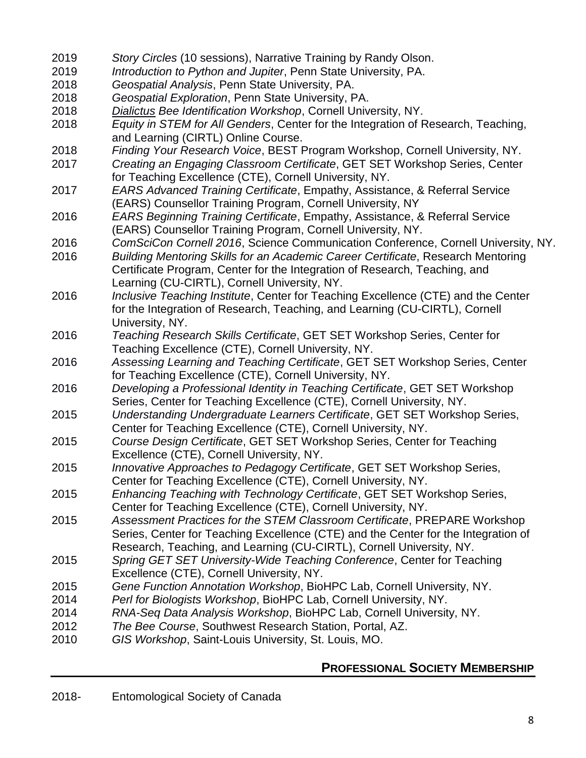- 2019 *Story Circles* (10 sessions), Narrative Training by Randy Olson.
- 2019 *Introduction to Python and Jupiter*, Penn State University, PA.
- 2018 *Geospatial Analysis*, Penn State University, PA.
- 2018 *Geospatial Exploration*, Penn State University, PA.
- 2018 *Dialictus Bee Identification Workshop*, Cornell University, NY.
- 2018 *Equity in STEM for All Genders*, Center for the Integration of Research, Teaching, and Learning (CIRTL) Online Course.
- 2018 *Finding Your Research Voice*, BEST Program Workshop, Cornell University, NY.
- 2017 *Creating an Engaging Classroom Certificate*, GET SET Workshop Series, Center for Teaching Excellence (CTE), Cornell University, NY.
- 2017 *EARS Advanced Training Certificate*, Empathy, Assistance, & Referral Service (EARS) Counsellor Training Program, Cornell University, NY
- 2016 *EARS Beginning Training Certificate*, Empathy, Assistance, & Referral Service (EARS) Counsellor Training Program, Cornell University, NY.
- 2016 *ComSciCon Cornell 2016*, Science Communication Conference, Cornell University, NY.
- 2016 *Building Mentoring Skills for an Academic Career Certificate*, Research Mentoring Certificate Program, Center for the Integration of Research, Teaching, and Learning (CU-CIRTL), Cornell University, NY.
- 2016 *Inclusive Teaching Institute*, Center for Teaching Excellence (CTE) and the Center for the Integration of Research, Teaching, and Learning (CU-CIRTL), Cornell University, NY.
- 2016 *Teaching Research Skills Certificate*, GET SET Workshop Series, Center for Teaching Excellence (CTE), Cornell University, NY.
- 2016 *Assessing Learning and Teaching Certificate*, GET SET Workshop Series, Center for Teaching Excellence (CTE), Cornell University, NY.
- 2016 *Developing a Professional Identity in Teaching Certificate*, GET SET Workshop Series, Center for Teaching Excellence (CTE), Cornell University, NY.
- 2015 *Understanding Undergraduate Learners Certificate*, GET SET Workshop Series, Center for Teaching Excellence (CTE), Cornell University, NY.
- 2015 *Course Design Certificate*, GET SET Workshop Series, Center for Teaching Excellence (CTE), Cornell University, NY.
- 2015 *Innovative Approaches to Pedagogy Certificate*, GET SET Workshop Series, Center for Teaching Excellence (CTE), Cornell University, NY.
- 2015 *Enhancing Teaching with Technology Certificate*, GET SET Workshop Series, Center for Teaching Excellence (CTE), Cornell University, NY.
- 2015 *Assessment Practices for the STEM Classroom Certificate*, PREPARE Workshop Series, Center for Teaching Excellence (CTE) and the Center for the Integration of Research, Teaching, and Learning (CU-CIRTL), Cornell University, NY.
- 2015 *Spring GET SET University-Wide Teaching Conference*, Center for Teaching Excellence (CTE), Cornell University, NY.
- 2015 *Gene Function Annotation Workshop*, BioHPC Lab, Cornell University, NY.
- 2014 *Perl for Biologists Workshop*, BioHPC Lab, Cornell University, NY.
- 2014 *RNA-Seq Data Analysis Workshop*, BioHPC Lab, Cornell University, NY.
- 2012 *The Bee Course*, Southwest Research Station, Portal, AZ.
- 2010 *GIS Workshop*, Saint-Louis University, St. Louis, MO.

# **PROFESSIONAL SOCIETY MEMBERSHIP**